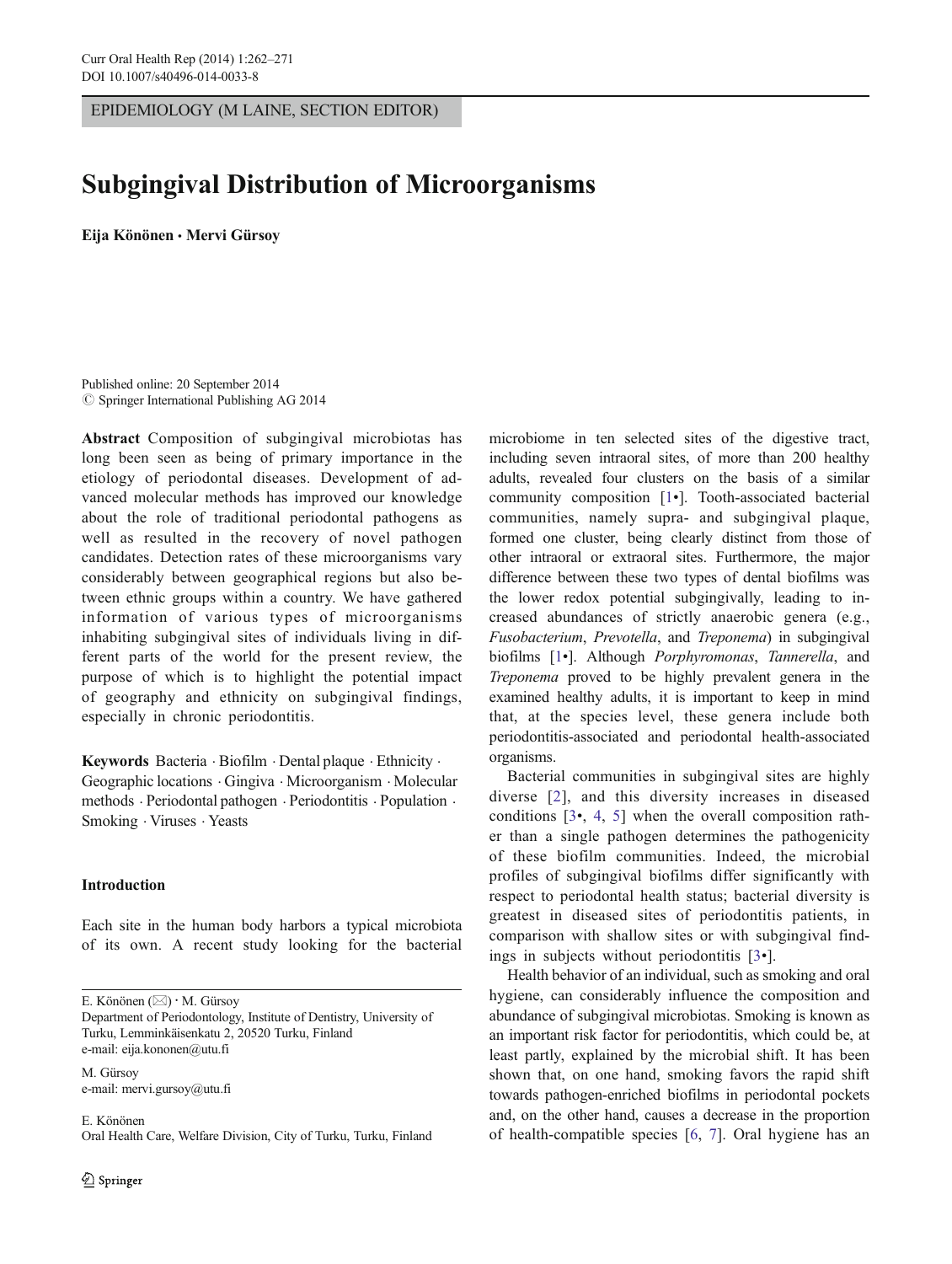EPIDEMIOLOGY (M LAINE, SECTION EDITOR)

# Subgingival Distribution of Microorganisms

Eija Könönen & Mervi Gürsoy

Published online: 20 September 2014  $\oslash$  Springer International Publishing AG 2014

Abstract Composition of subgingival microbiotas has long been seen as being of primary importance in the etiology of periodontal diseases. Development of advanced molecular methods has improved our knowledge about the role of traditional periodontal pathogens as well as resulted in the recovery of novel pathogen candidates. Detection rates of these microorganisms vary considerably between geographical regions but also between ethnic groups within a country. We have gathered information of various types of microorganisms inhabiting subgingival sites of individuals living in different parts of the world for the present review, the purpose of which is to highlight the potential impact of geography and ethnicity on subgingival findings, especially in chronic periodontitis.

Keywords Bacteria . Biofilm . Dental plaque . Ethnicity . Geographic locations . Gingiva . Microorganism . Molecular methods . Periodontal pathogen . Periodontitis . Population . Smoking . Viruses . Yeasts

# Introduction

Each site in the human body harbors a typical microbiota of its own. A recent study looking for the bacterial

E. Könönen (⊠) · M. Gürsoy

Department of Periodontology, Institute of Dentistry, University of Turku, Lemminkäisenkatu 2, 20520 Turku, Finland e-mail: eija.kononen@utu.fi

M. Gürsoy e-mail: mervi.gursoy@utu.fi

E. Könönen Oral Health Care, Welfare Division, City of Turku, Turku, Finland microbiome in ten selected sites of the digestive tract, including seven intraoral sites, of more than 200 healthy adults, revealed four clusters on the basis of a similar community composition [\[1](#page-7-0)•]. Tooth-associated bacterial communities, namely supra- and subgingival plaque, formed one cluster, being clearly distinct from those of other intraoral or extraoral sites. Furthermore, the major difference between these two types of dental biofilms was the lower redox potential subgingivally, leading to increased abundances of strictly anaerobic genera (e.g., Fusobacterium, Prevotella, and Treponema) in subgingival biofilms [\[1](#page-7-0)•]. Although *Porphyromonas*, Tannerella, and Treponema proved to be highly prevalent genera in the examined healthy adults, it is important to keep in mind that, at the species level, these genera include both periodontitis-associated and periodontal health-associated organisms.

Bacterial communities in subgingival sites are highly diverse [[2](#page-7-0)], and this diversity increases in diseased conditions [[3](#page-7-0)•, [4](#page-7-0), [5](#page-7-0)] when the overall composition rather than a single pathogen determines the pathogenicity of these biofilm communities. Indeed, the microbial profiles of subgingival biofilms differ significantly with respect to periodontal health status; bacterial diversity is greatest in diseased sites of periodontitis patients, in comparison with shallow sites or with subgingival findings in subjects without periodontitis [\[3](#page-7-0)•].

Health behavior of an individual, such as smoking and oral hygiene, can considerably influence the composition and abundance of subgingival microbiotas. Smoking is known as an important risk factor for periodontitis, which could be, at least partly, explained by the microbial shift. It has been shown that, on one hand, smoking favors the rapid shift towards pathogen-enriched biofilms in periodontal pockets and, on the other hand, causes a decrease in the proportion of health-compatible species [[6,](#page-7-0) [7\]](#page-7-0). Oral hygiene has an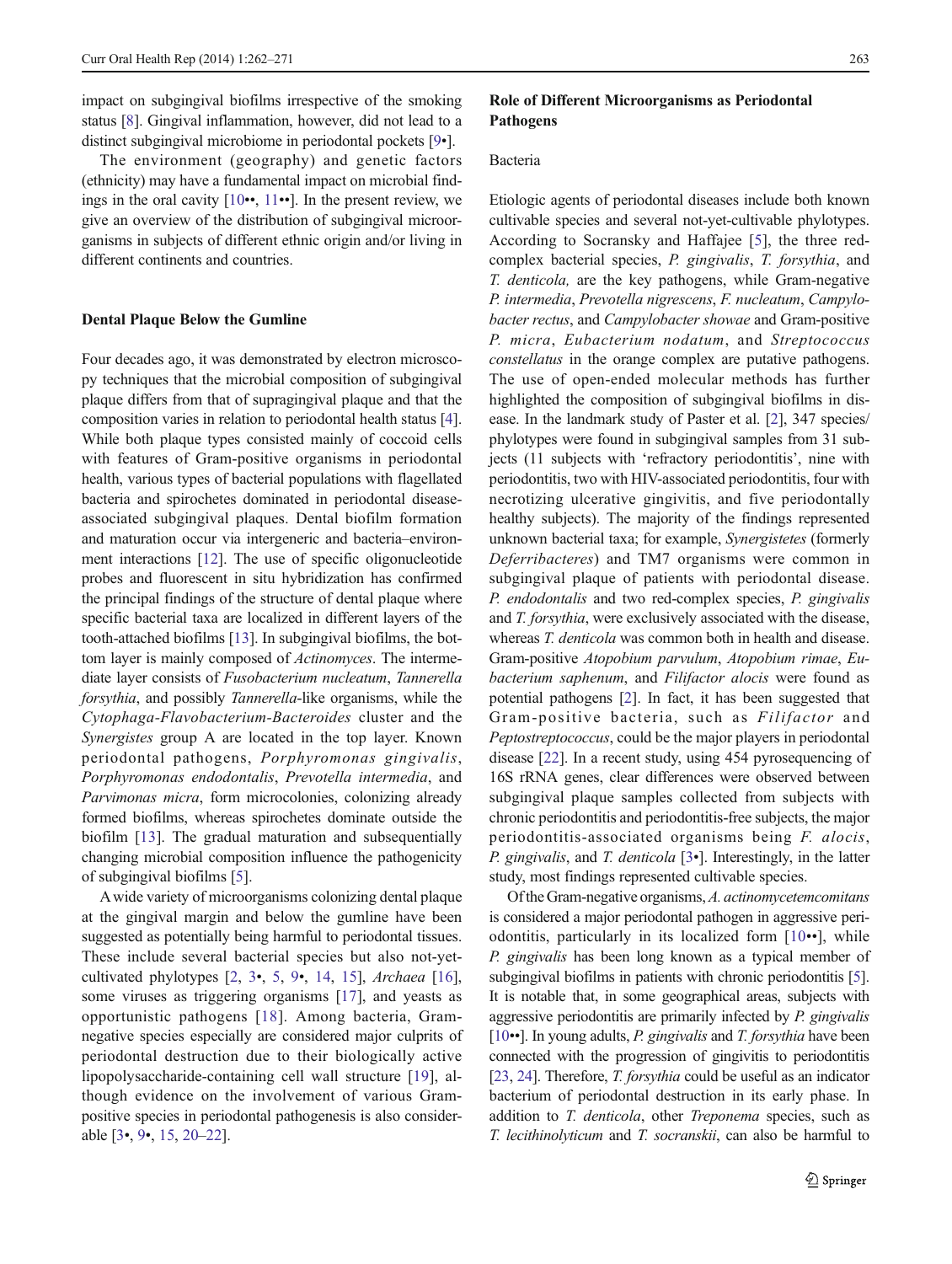impact on subgingival biofilms irrespective of the smoking status [\[8\]](#page-7-0). Gingival inflammation, however, did not lead to a distinct subgingival microbiome in periodontal pockets [\[9](#page-7-0)•].

The environment (geography) and genetic factors (ethnicity) may have a fundamental impact on microbial findings in the oral cavity [\[10](#page-7-0)••, [11](#page-7-0)••]. In the present review, we give an overview of the distribution of subgingival microorganisms in subjects of different ethnic origin and/or living in different continents and countries.

## Dental Plaque Below the Gumline

Four decades ago, it was demonstrated by electron microscopy techniques that the microbial composition of subgingival plaque differs from that of supragingival plaque and that the composition varies in relation to periodontal health status [[4\]](#page-7-0). While both plaque types consisted mainly of coccoid cells with features of Gram-positive organisms in periodontal health, various types of bacterial populations with flagellated bacteria and spirochetes dominated in periodontal diseaseassociated subgingival plaques. Dental biofilm formation and maturation occur via intergeneric and bacteria–environment interactions [[12\]](#page-7-0). The use of specific oligonucleotide probes and fluorescent in situ hybridization has confirmed the principal findings of the structure of dental plaque where specific bacterial taxa are localized in different layers of the tooth-attached biofilms [\[13](#page-7-0)]. In subgingival biofilms, the bottom layer is mainly composed of Actinomyces. The intermediate layer consists of Fusobacterium nucleatum, Tannerella forsythia, and possibly Tannerella-like organisms, while the Cytophaga-Flavobacterium-Bacteroides cluster and the Synergistes group A are located in the top layer. Known periodontal pathogens, Porphyromonas gingivalis, Porphyromonas endodontalis, Prevotella intermedia, and Parvimonas micra, form microcolonies, colonizing already formed biofilms, whereas spirochetes dominate outside the biofilm [[13\]](#page-7-0). The gradual maturation and subsequentially changing microbial composition influence the pathogenicity of subgingival biofilms [\[5](#page-7-0)].

Awide variety of microorganisms colonizing dental plaque at the gingival margin and below the gumline have been suggested as potentially being harmful to periodontal tissues. These include several bacterial species but also not-yetcultivated phylotypes [[2,](#page-7-0) [3](#page-7-0)•, [5](#page-7-0), [9](#page-7-0)•, [14,](#page-7-0) [15](#page-7-0)], Archaea [[16](#page-7-0)], some viruses as triggering organisms [\[17](#page-7-0)], and yeasts as opportunistic pathogens [\[18\]](#page-7-0). Among bacteria, Gramnegative species especially are considered major culprits of periodontal destruction due to their biologically active lipopolysaccharide-containing cell wall structure [[19\]](#page-7-0), although evidence on the involvement of various Grampositive species in periodontal pathogenesis is also considerable [[3](#page-7-0)•, [9](#page-7-0)•, [15](#page-7-0), [20](#page-7-0)–[22\]](#page-7-0).

# Role of Different Microorganisms as Periodontal Pathogens

# Bacteria

Etiologic agents of periodontal diseases include both known cultivable species and several not-yet-cultivable phylotypes. According to Socransky and Haffajee [[5](#page-7-0)], the three redcomplex bacterial species, P. gingivalis, T. forsythia, and T. denticola, are the key pathogens, while Gram-negative P. intermedia, Prevotella nigrescens, F. nucleatum, Campylobacter rectus, and Campylobacter showae and Gram-positive P. micra, Eubacterium nodatum, and Streptococcus constellatus in the orange complex are putative pathogens. The use of open-ended molecular methods has further highlighted the composition of subgingival biofilms in disease. In the landmark study of Paster et al. [\[2](#page-7-0)], 347 species/ phylotypes were found in subgingival samples from 31 subjects (11 subjects with 'refractory periodontitis', nine with periodontitis, two with HIV-associated periodontitis, four with necrotizing ulcerative gingivitis, and five periodontally healthy subjects). The majority of the findings represented unknown bacterial taxa; for example, Synergistetes (formerly Deferribacteres) and TM7 organisms were common in subgingival plaque of patients with periodontal disease. P. endodontalis and two red-complex species, P. gingivalis and T. forsythia, were exclusively associated with the disease, whereas *T. denticola* was common both in health and disease. Gram-positive Atopobium parvulum, Atopobium rimae, Eubacterium saphenum, and Filifactor alocis were found as potential pathogens [[2\]](#page-7-0). In fact, it has been suggested that Gram-positive bacteria, such as Filifactor and Peptostreptococcus, could be the major players in periodontal disease [\[22\]](#page-7-0). In a recent study, using 454 pyrosequencing of 16S rRNA genes, clear differences were observed between subgingival plaque samples collected from subjects with chronic periodontitis and periodontitis-free subjects, the major periodontitis-associated organisms being F. alocis, P. gingivalis, and T. denticola [\[3](#page-7-0)•]. Interestingly, in the latter study, most findings represented cultivable species.

Of the Gram-negative organisms,A. actinomycetemcomitans is considered a major periodontal pathogen in aggressive periodontitis, particularly in its localized form [\[10](#page-7-0)••], while P. gingivalis has been long known as a typical member of subgingival biofilms in patients with chronic periodontitis [\[5\]](#page-7-0). It is notable that, in some geographical areas, subjects with aggressive periodontitis are primarily infected by P. gingivalis  $[10\bullet]$  $[10\bullet]$ . In young adults, P. gingivalis and T. forsythia have been connected with the progression of gingivitis to periodontitis [\[23,](#page-7-0) [24](#page-7-0)]. Therefore, *T. forsythia* could be useful as an indicator bacterium of periodontal destruction in its early phase. In addition to T. denticola, other Treponema species, such as T. lecithinolyticum and T. socranskii, can also be harmful to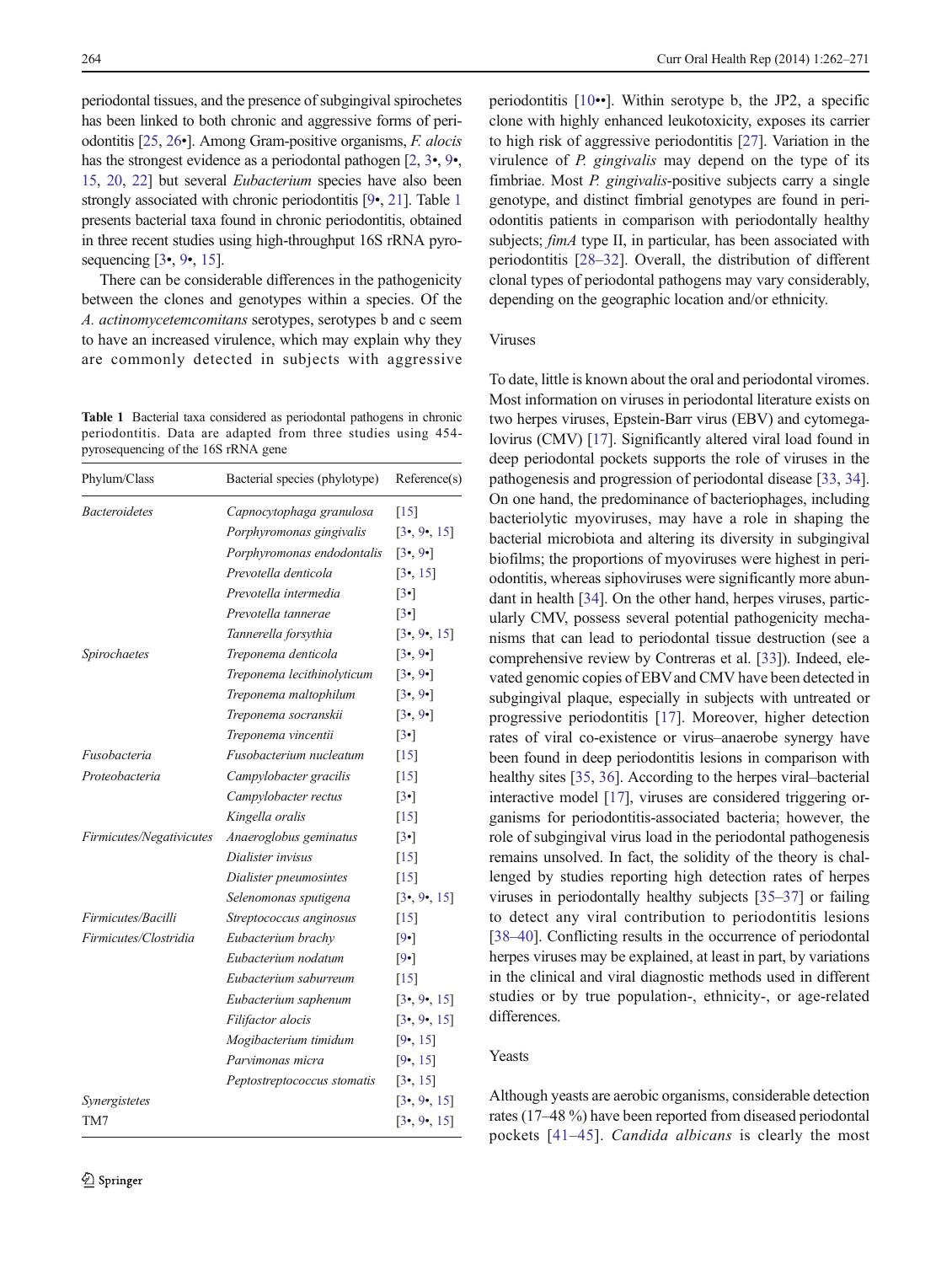<span id="page-2-0"></span>periodontal tissues, and the presence of subgingival spirochetes has been linked to both chronic and aggressive forms of periodontitis [[25](#page-7-0), [26](#page-7-0)•]. Among Gram-positive organisms, F. alocis has the strongest evidence as a periodontal pathogen [\[2,](#page-7-0) [3](#page-7-0)•, [9](#page-7-0)•, [15,](#page-7-0) [20](#page-7-0), [22](#page-7-0)] but several Eubacterium species have also been strongly associated with chronic periodontitis [\[9](#page-7-0)•, [21](#page-7-0)]. Table 1 presents bacterial taxa found in chronic periodontitis, obtained in three recent studies using high-throughput 16S rRNA pyrosequencing [\[3](#page-7-0)•, [9](#page-7-0)•, [15](#page-7-0)].

There can be considerable differences in the pathogenicity between the clones and genotypes within a species. Of the A. actinomycetemcomitans serotypes, serotypes b and c seem to have an increased virulence, which may explain why they are commonly detected in subjects with aggressive

Table 1 Bacterial taxa considered as periodontal pathogens in chronic periodontitis. Data are adapted from three studies using 454 pyrosequencing of the 16S rRNA gene

| Phylum/Class             | Bacterial species (phylotype) | Reference(s)            |  |  |
|--------------------------|-------------------------------|-------------------------|--|--|
| <b>Bacteroidetes</b>     | Capnocytophaga granulosa      | [15]                    |  |  |
|                          | Porphyromonas gingivalis      | [3, 9, 15]              |  |  |
|                          | Porphyromonas endodontalis    | [3, 9]                  |  |  |
|                          | Prevotella denticola          | $[3 \cdot 15]$          |  |  |
|                          | Prevotella intermedia         | $\lceil 3 \cdot \rceil$ |  |  |
|                          | Prevotella tannerae           | $\lceil 3 \cdot \rceil$ |  |  |
|                          | Tannerella forsythia          | [3, 9, 15]              |  |  |
| Spirochaetes             | Treponema denticola           | [3, 9]                  |  |  |
|                          | Treponema lecithinolyticum    | $[3 \cdot 9 \cdot]$     |  |  |
|                          | Treponema maltophilum         | [3, 9]                  |  |  |
|                          | Treponema socranskii          | [3, 9]                  |  |  |
|                          | Treponema vincentii           | $\lceil 3 \cdot \rceil$ |  |  |
| Fusobacteria             | Fusobacterium nucleatum       | $[15]$                  |  |  |
| Proteobacteria           | Campylobacter gracilis        | [15]                    |  |  |
|                          | Campylobacter rectus          | $\lceil 3 \cdot \rceil$ |  |  |
|                          | Kingella oralis               | $[15]$                  |  |  |
| Firmicutes/Negativicutes | Anaeroglobus geminatus        | $[3\bullet]$            |  |  |
|                          | Dialister invisus             | [15]                    |  |  |
|                          | Dialister pneumosintes        | [15]                    |  |  |
|                          | Selenomonas sputigena         | [3, 9, 15]              |  |  |
| Firmicutes/Bacilli       | Streptococcus anginosus       | $[15]$                  |  |  |
| Firmicutes/Clostridia    | Eubacterium brachy            | $[9\cdot]$              |  |  |
|                          | Eubacterium nodatum           | $[9\cdot]$              |  |  |
|                          | Eubacterium saburreum         | [15]                    |  |  |
|                          | Eubacterium saphenum          | [3, 9, 15]              |  |  |
|                          | Filifactor alocis             | [3, 9, 15]              |  |  |
|                          | Mogibacterium timidum         | [9, 15]                 |  |  |
|                          | Parvimonas micra              | [9, 15]                 |  |  |
|                          | Peptostreptococcus stomatis   | [3, 15]                 |  |  |
| Synergistetes            |                               | [3, 9, 15]              |  |  |
| TM7                      |                               | [3, 9, 15]              |  |  |

periodontitis [[10](#page-7-0)••]. Within serotype b, the JP2, a specific clone with highly enhanced leukotoxicity, exposes its carrier to high risk of aggressive periodontitis [[27\]](#page-7-0). Variation in the virulence of P. gingivalis may depend on the type of its fimbriae. Most P. gingivalis-positive subjects carry a single genotype, and distinct fimbrial genotypes are found in periodontitis patients in comparison with periodontally healthy subjects; *fimA* type II, in particular, has been associated with periodontitis [[28](#page-7-0)–[32\]](#page-8-0). Overall, the distribution of different clonal types of periodontal pathogens may vary considerably, depending on the geographic location and/or ethnicity.

### Viruses

To date, little is known about the oral and periodontal viromes. Most information on viruses in periodontal literature exists on two herpes viruses, Epstein-Barr virus (EBV) and cytomegalovirus (CMV) [[17](#page-7-0)]. Significantly altered viral load found in deep periodontal pockets supports the role of viruses in the pathogenesis and progression of periodontal disease [\[33,](#page-8-0) [34\]](#page-8-0). On one hand, the predominance of bacteriophages, including bacteriolytic myoviruses, may have a role in shaping the bacterial microbiota and altering its diversity in subgingival biofilms; the proportions of myoviruses were highest in periodontitis, whereas siphoviruses were significantly more abundant in health [\[34\]](#page-8-0). On the other hand, herpes viruses, particularly CMV, possess several potential pathogenicity mechanisms that can lead to periodontal tissue destruction (see a comprehensive review by Contreras et al. [\[33](#page-8-0)]). Indeed, elevated genomic copies of EBVand CMV have been detected in subgingival plaque, especially in subjects with untreated or progressive periodontitis [\[17](#page-7-0)]. Moreover, higher detection rates of viral co-existence or virus–anaerobe synergy have been found in deep periodontitis lesions in comparison with healthy sites [\[35,](#page-8-0) [36\]](#page-8-0). According to the herpes viral–bacterial interactive model [\[17\]](#page-7-0), viruses are considered triggering organisms for periodontitis-associated bacteria; however, the role of subgingival virus load in the periodontal pathogenesis remains unsolved. In fact, the solidity of the theory is challenged by studies reporting high detection rates of herpes viruses in periodontally healthy subjects [\[35](#page-8-0)–[37\]](#page-8-0) or failing to detect any viral contribution to periodontitis lesions [\[38](#page-8-0)–[40\]](#page-8-0). Conflicting results in the occurrence of periodontal herpes viruses may be explained, at least in part, by variations in the clinical and viral diagnostic methods used in different studies or by true population-, ethnicity-, or age-related differences.

#### Yeasts

Although yeasts are aerobic organisms, considerable detection rates (17–48 %) have been reported from diseased periodontal pockets [[41](#page-8-0)–[45\]](#page-8-0). Candida albicans is clearly the most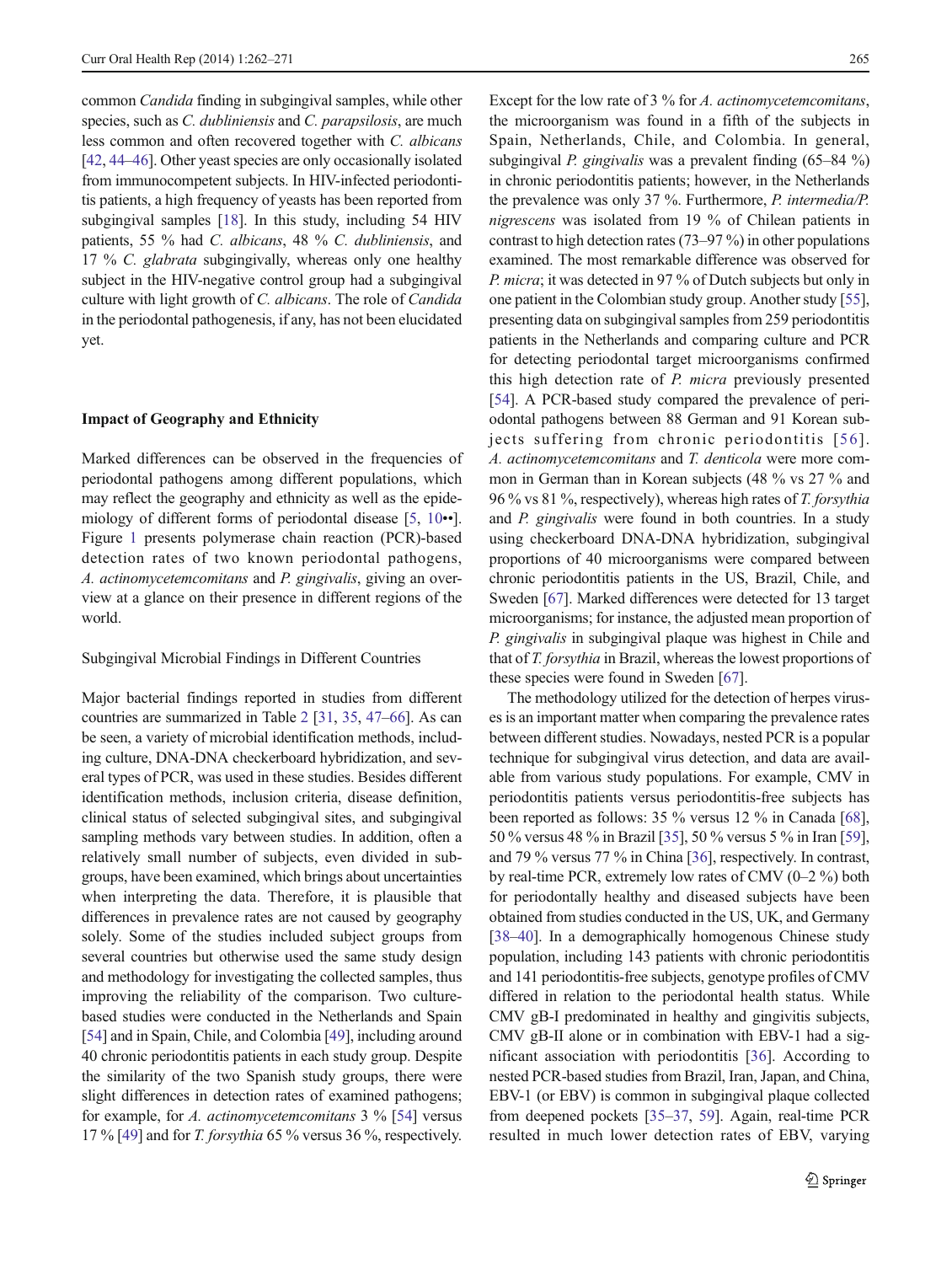common Candida finding in subgingival samples, while other species, such as C. dubliniensis and C. parapsilosis, are much less common and often recovered together with C. albicans [\[42,](#page-8-0) [44](#page-8-0)–[46\]](#page-8-0). Other yeast species are only occasionally isolated from immunocompetent subjects. In HIV-infected periodontitis patients, a high frequency of yeasts has been reported from subgingival samples [\[18](#page-7-0)]. In this study, including 54 HIV patients, 55 % had C. albicans, 48 % C. dubliniensis, and 17 % C. glabrata subgingivally, whereas only one healthy subject in the HIV-negative control group had a subgingival culture with light growth of C. albicans. The role of Candida in the periodontal pathogenesis, if any, has not been elucidated yet.

## Impact of Geography and Ethnicity

Marked differences can be observed in the frequencies of periodontal pathogens among different populations, which may reflect the geography and ethnicity as well as the epidemiology of different forms of periodontal disease [\[5,](#page-7-0) [10](#page-7-0)••]. Figure [1](#page-4-0) presents polymerase chain reaction (PCR)-based detection rates of two known periodontal pathogens, A. actinomycetemcomitans and P. gingivalis, giving an overview at a glance on their presence in different regions of the world.

## Subgingival Microbial Findings in Different Countries

Major bacterial findings reported in studies from different countries are summarized in Table [2](#page-5-0) [\[31,](#page-7-0) [35,](#page-8-0) [47](#page-8-0)–[66\]](#page-9-0). As can be seen, a variety of microbial identification methods, including culture, DNA-DNA checkerboard hybridization, and several types of PCR, was used in these studies. Besides different identification methods, inclusion criteria, disease definition, clinical status of selected subgingival sites, and subgingival sampling methods vary between studies. In addition, often a relatively small number of subjects, even divided in subgroups, have been examined, which brings about uncertainties when interpreting the data. Therefore, it is plausible that differences in prevalence rates are not caused by geography solely. Some of the studies included subject groups from several countries but otherwise used the same study design and methodology for investigating the collected samples, thus improving the reliability of the comparison. Two culturebased studies were conducted in the Netherlands and Spain [\[54\]](#page-8-0) and in Spain, Chile, and Colombia [\[49\]](#page-8-0), including around 40 chronic periodontitis patients in each study group. Despite the similarity of the two Spanish study groups, there were slight differences in detection rates of examined pathogens; for example, for A. actinomycetem comitans  $3\%$  [\[54](#page-8-0)] versus 17 % [\[49](#page-8-0)] and for T. forsythia 65 % versus 36 %, respectively.

Except for the low rate of 3 % for A. actinomycetemcomitans, the microorganism was found in a fifth of the subjects in Spain, Netherlands, Chile, and Colombia. In general, subgingival *P. gingivalis* was a prevalent finding  $(65–84\%)$ in chronic periodontitis patients; however, in the Netherlands the prevalence was only 37 %. Furthermore, P. intermedia/P. nigrescens was isolated from 19 % of Chilean patients in contrast to high detection rates (73–97 %) in other populations examined. The most remarkable difference was observed for P. micra; it was detected in 97 % of Dutch subjects but only in one patient in the Colombian study group. Another study [[55\]](#page-8-0), presenting data on subgingival samples from 259 periodontitis patients in the Netherlands and comparing culture and PCR for detecting periodontal target microorganisms confirmed this high detection rate of P. micra previously presented [\[54](#page-8-0)]. A PCR-based study compared the prevalence of periodontal pathogens between 88 German and 91 Korean subjects suffering from chronic periodontitis [[56\]](#page-8-0). A. actinomycetemcomitans and T. denticola were more common in German than in Korean subjects (48 % vs 27 % and 96 % vs 81 %, respectively), whereas high rates of T. forsythia and P. gingivalis were found in both countries. In a study using checkerboard DNA-DNA hybridization, subgingival proportions of 40 microorganisms were compared between chronic periodontitis patients in the US, Brazil, Chile, and Sweden [\[67\]](#page-9-0). Marked differences were detected for 13 target microorganisms; for instance, the adjusted mean proportion of P. gingivalis in subgingival plaque was highest in Chile and that of T. forsythia in Brazil, whereas the lowest proportions of these species were found in Sweden [[67\]](#page-9-0).

The methodology utilized for the detection of herpes viruses is an important matter when comparing the prevalence rates between different studies. Nowadays, nested PCR is a popular technique for subgingival virus detection, and data are available from various study populations. For example, CMV in periodontitis patients versus periodontitis-free subjects has been reported as follows: 35 % versus 12 % in Canada [[68\]](#page-9-0), 50 % versus 48 % in Brazil [\[35](#page-8-0)], 50 % versus 5 % in Iran [[59\]](#page-8-0), and 79 % versus 77 % in China [\[36\]](#page-8-0), respectively. In contrast, by real-time PCR, extremely low rates of CMV (0–2 %) both for periodontally healthy and diseased subjects have been obtained from studies conducted in the US, UK, and Germany [\[38](#page-8-0)–[40\]](#page-8-0). In a demographically homogenous Chinese study population, including 143 patients with chronic periodontitis and 141 periodontitis-free subjects, genotype profiles of CMV differed in relation to the periodontal health status. While CMV gB-I predominated in healthy and gingivitis subjects, CMV gB-II alone or in combination with EBV-1 had a significant association with periodontitis [[36\]](#page-8-0). According to nested PCR-based studies from Brazil, Iran, Japan, and China, EBV-1 (or EBV) is common in subgingival plaque collected from deepened pockets [\[35](#page-8-0)–[37,](#page-8-0) [59](#page-8-0)]. Again, real-time PCR resulted in much lower detection rates of EBV, varying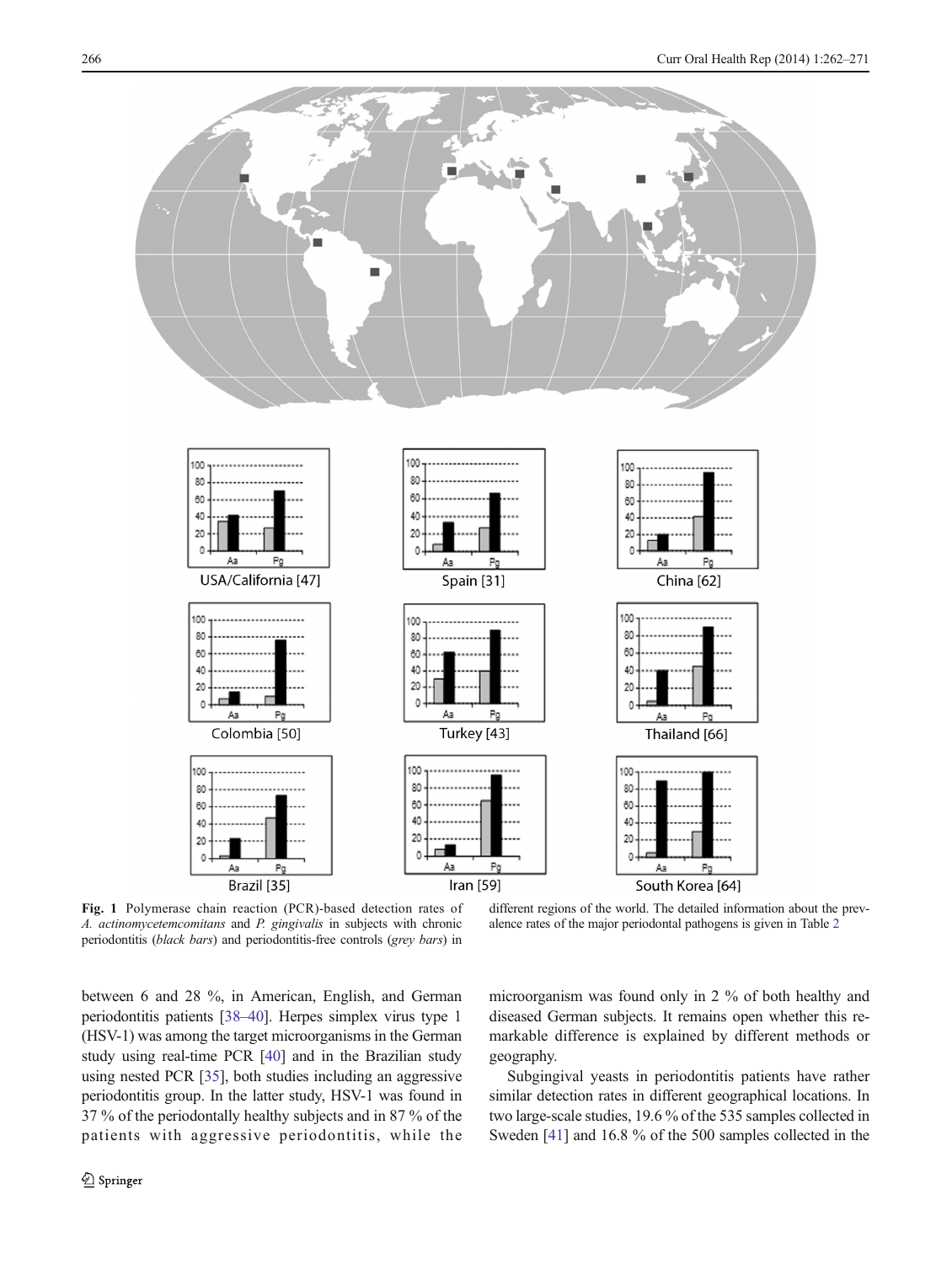<span id="page-4-0"></span>

Fig. 1 Polymerase chain reaction (PCR)-based detection rates of A. actinomycetemcomitans and P. gingivalis in subjects with chronic periodontitis (black bars) and periodontitis-free controls (grey bars) in

different regions of the world. The detailed information about the prevalence rates of the major periodontal pathogens is given in Table [2](#page-5-0)

between 6 and 28 %, in American, English, and German periodontitis patients [[38](#page-8-0)–[40\]](#page-8-0). Herpes simplex virus type 1 (HSV-1) was among the target microorganisms in the German study using real-time PCR [[40\]](#page-8-0) and in the Brazilian study using nested PCR [[35](#page-8-0)], both studies including an aggressive periodontitis group. In the latter study, HSV-1 was found in 37 % of the periodontally healthy subjects and in 87 % of the patients with aggressive periodontitis, while the microorganism was found only in 2 % of both healthy and diseased German subjects. It remains open whether this remarkable difference is explained by different methods or geography.

Subgingival yeasts in periodontitis patients have rather similar detection rates in different geographical locations. In two large-scale studies, 19.6 % of the 535 samples collected in Sweden [\[41\]](#page-8-0) and 16.8 % of the 500 samples collected in the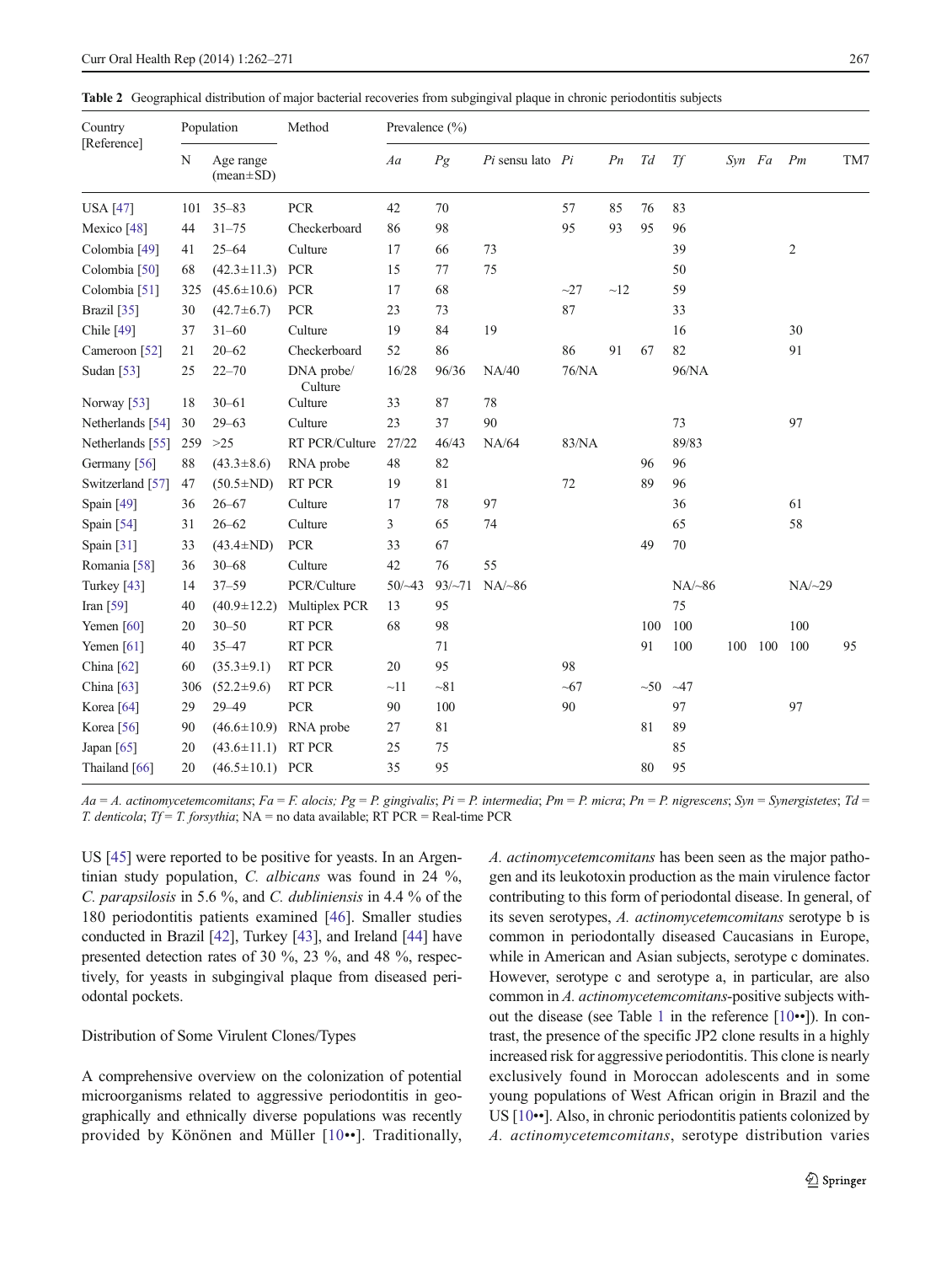<span id="page-5-0"></span>Table 2 Geographical distribution of major bacterial recoveries from subgingival plaque in chronic periodontitis subjects

| Country<br>[Reference] | Population |                              | Method                | Prevalence $(\% )$ |              |                      |       |                |     |              |        |     |                |     |
|------------------------|------------|------------------------------|-----------------------|--------------------|--------------|----------------------|-------|----------------|-----|--------------|--------|-----|----------------|-----|
|                        | N          | Age range<br>$(mean \pm SD)$ |                       | Aa                 | Pg           | $Pi$ sensu lato $Pi$ |       | P <sub>n</sub> | Td  | Tf           | Syn Fa |     | Pm             | TM7 |
| <b>USA</b> [47]        | 101        | $35 - 83$                    | <b>PCR</b>            | 42                 | 70           |                      | 57    | 85             | 76  | 83           |        |     |                |     |
| Mexico <sup>[48]</sup> | 44         | $31 - 75$                    | Checkerboard          | 86                 | 98           |                      | 95    | 93             | 95  | 96           |        |     |                |     |
| Colombia [49]          | 41         | $25 - 64$                    | Culture               | 17                 | 66           | 73                   |       |                |     | 39           |        |     | $\overline{2}$ |     |
| Colombia [50]          | 68         | $(42.3 \pm 11.3)$            | PCR                   | 15                 | 77           | 75                   |       |                |     | 50           |        |     |                |     |
| Colombia [51]          | 325        | $(45.6 \pm 10.6)$            | <b>PCR</b>            | 17                 | 68           |                      | $-27$ | $\sim$ 12      |     | 59           |        |     |                |     |
| Brazil [35]            | 30         | $(42.7 \pm 6.7)$             | <b>PCR</b>            | 23                 | 73           |                      | 87    |                |     | 33           |        |     |                |     |
| Chile [49]             | 37         | $31 - 60$                    | Culture               | 19                 | 84           | 19                   |       |                |     | 16           |        |     | 30             |     |
| Cameroon [52]          | 21         | $20 - 62$                    | Checkerboard          | 52                 | 86           |                      | 86    | 91             | 67  | 82           |        |     | 91             |     |
| Sudan [53]             | 25         | $22 - 70$                    | DNA probe/<br>Culture | 16/28              | 96/36        | NA/40                | 76/NA |                |     | 96/NA        |        |     |                |     |
| Norway <sup>[53]</sup> | 18         | $30 - 61$                    | Culture               | 33                 | 87           | 78                   |       |                |     |              |        |     |                |     |
| Netherlands [54]       | 30         | $29 - 63$                    | Culture               | 23                 | 37           | 90                   |       |                |     | 73           |        |     | 97             |     |
| Netherlands [55]       | 259        | $>25$                        | RT PCR/Culture        | 27/22              | 46/43        | NA/64                | 83/NA |                |     | 89/83        |        |     |                |     |
| Germany [56]           | 88         | $(43.3 \pm 8.6)$             | RNA probe             | 48                 | 82           |                      |       |                | 96  | 96           |        |     |                |     |
| Switzerland [57]       | 47         | $(50.5 \pm ND)$              | RT PCR                | 19                 | 81           |                      | 72    |                | 89  | 96           |        |     |                |     |
| Spain [49]             | 36         | $26 - 67$                    | Culture               | 17                 | 78           | 97                   |       |                |     | 36           |        |     | 61             |     |
| Spain [54]             | 31         | $26 - 62$                    | Culture               | 3                  | 65           | 74                   |       |                |     | 65           |        |     | 58             |     |
| Spain [31]             | 33         | $(43.4 \pm ND)$              | <b>PCR</b>            | 33                 | 67           |                      |       |                | 49  | 70           |        |     |                |     |
| Romania [58]           | 36         | $30 - 68$                    | Culture               | 42                 | 76           | 55                   |       |                |     |              |        |     |                |     |
| Turkey $[43]$          | 14         | $37 - 59$                    | PCR/Culture           | $50/-43$           | $93/\sim 71$ | $NA/\sim 86$         |       |                |     | $NA/\sim 86$ |        |     | $NA/\sim$ 29   |     |
| Iran [59]              | 40         | $(40.9 \pm 12.2)$            | Multiplex PCR         | 13                 | 95           |                      |       |                |     | 75           |        |     |                |     |
| Yemen $[60]$           | 20         | $30 - 50$                    | RT PCR                | 68                 | 98           |                      |       |                | 100 | 100          |        |     | 100            |     |
| Yemen $[61]$           | 40         | 35-47                        | RT PCR                |                    | 71           |                      |       |                | 91  | 100          | 100    | 100 | 100            | 95  |
| China [62]             | 60         | $(35.3 \pm 9.1)$             | RT PCR                | 20                 | 95           |                      | 98    |                |     |              |        |     |                |     |
| China [63]             | 306        | $(52.2 \pm 9.6)$             | RT PCR                | ~11                | $-81$        |                      | ~100  |                | ~50 | $-47$        |        |     |                |     |
| Korea <sup>[64]</sup>  | 29         | 29-49                        | PCR                   | 90                 | 100          |                      | 90    |                |     | 97           |        |     | 97             |     |
| Korea [56]             | 90         | $(46.6 \pm 10.9)$            | RNA probe             | 27                 | 81           |                      |       |                | 81  | 89           |        |     |                |     |
| Japan [65]             | 20         | $(43.6 \pm 11.1)$            | RT PCR                | 25                 | 75           |                      |       |                |     | 85           |        |     |                |     |
| Thailand [66]          | 20         | $(46.5 \pm 10.1)$ PCR        |                       | 35                 | 95           |                      |       |                | 80  | 95           |        |     |                |     |

 $Aa = A$ . actinomycetemcomitans;  $Fa = F$ . alocis;  $Pg = P$ . gingivalis;  $Pi = P$ . intermedia;  $Pm = P$ . micra;  $Pn = P$ . nigrescens;  $Syn = Synergistetes; Td = Q$ T. denticola; Tf = T. forsythia; NA = no data available; RT PCR = Real-time PCR

US [\[45](#page-8-0)] were reported to be positive for yeasts. In an Argentinian study population, C. albicans was found in 24 %, C. parapsilosis in 5.6 %, and C. dubliniensis in 4.4 % of the 180 periodontitis patients examined [\[46](#page-8-0)]. Smaller studies conducted in Brazil [\[42\]](#page-8-0), Turkey [\[43\]](#page-8-0), and Ireland [[44\]](#page-8-0) have presented detection rates of 30 %, 23 %, and 48 %, respectively, for yeasts in subgingival plaque from diseased periodontal pockets.

# Distribution of Some Virulent Clones/Types

A comprehensive overview on the colonization of potential microorganisms related to aggressive periodontitis in geographically and ethnically diverse populations was recently provided by Könönen and Müller [[10](#page-7-0)••]. Traditionally, A. actinomycetemcomitans has been seen as the major pathogen and its leukotoxin production as the main virulence factor contributing to this form of periodontal disease. In general, of its seven serotypes, A. actinomycetemcomitans serotype b is common in periodontally diseased Caucasians in Europe, while in American and Asian subjects, serotype c dominates. However, serotype c and serotype a, in particular, are also common in A. actinomycetemcomitans-positive subjects without the disease (see Table [1](#page-2-0) in the reference [\[10](#page-7-0)••]). In contrast, the presence of the specific JP2 clone results in a highly increased risk for aggressive periodontitis. This clone is nearly exclusively found in Moroccan adolescents and in some young populations of West African origin in Brazil and the US [\[10](#page-7-0)••]. Also, in chronic periodontitis patients colonized by A. actinomycetemcomitans, serotype distribution varies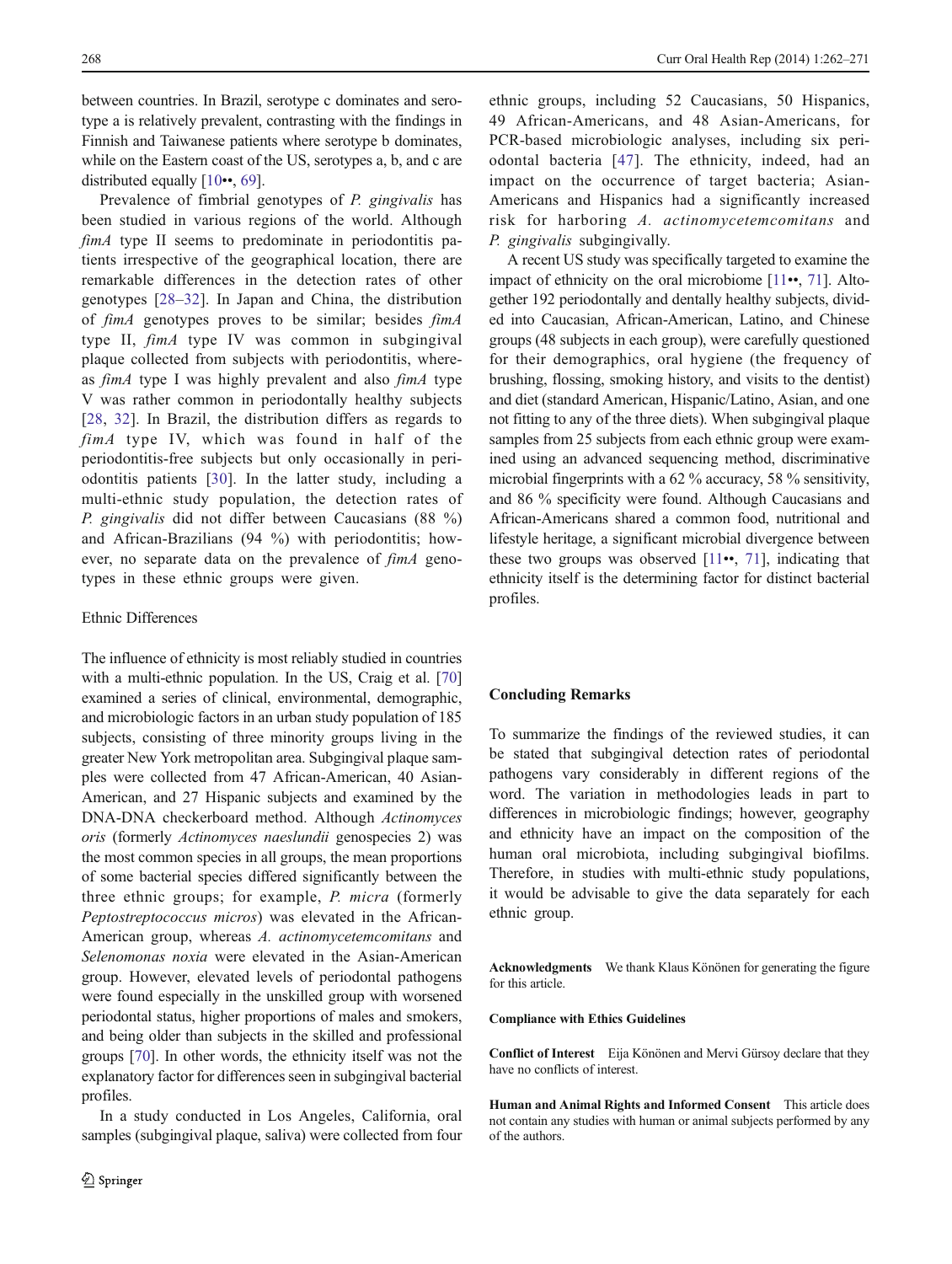between countries. In Brazil, serotype c dominates and serotype a is relatively prevalent, contrasting with the findings in Finnish and Taiwanese patients where serotype b dominates, while on the Eastern coast of the US, serotypes a, b, and c are distributed equally [\[10](#page-7-0)••, [69](#page-9-0)].

Prevalence of fimbrial genotypes of P. gingivalis has been studied in various regions of the world. Although fimA type II seems to predominate in periodontitis patients irrespective of the geographical location, there are remarkable differences in the detection rates of other genotypes [[28](#page-7-0)–[32](#page-8-0)]. In Japan and China, the distribution of fimA genotypes proves to be similar; besides fimA type II, fimA type IV was common in subgingival plaque collected from subjects with periodontitis, whereas fimA type I was highly prevalent and also fimA type V was rather common in periodontally healthy subjects [\[28,](#page-7-0) [32\]](#page-8-0). In Brazil, the distribution differs as regards to fimA type IV, which was found in half of the periodontitis-free subjects but only occasionally in periodontitis patients [\[30](#page-7-0)]. In the latter study, including a multi-ethnic study population, the detection rates of P. gingivalis did not differ between Caucasians (88 %) and African-Brazilians (94 %) with periodontitis; however, no separate data on the prevalence of fimA genotypes in these ethnic groups were given.

## Ethnic Differences

The influence of ethnicity is most reliably studied in countries with a multi-ethnic population. In the US, Craig et al. [\[70\]](#page-9-0) examined a series of clinical, environmental, demographic, and microbiologic factors in an urban study population of 185 subjects, consisting of three minority groups living in the greater New York metropolitan area. Subgingival plaque samples were collected from 47 African-American, 40 Asian-American, and 27 Hispanic subjects and examined by the DNA-DNA checkerboard method. Although Actinomyces oris (formerly Actinomyces naeslundii genospecies 2) was the most common species in all groups, the mean proportions of some bacterial species differed significantly between the three ethnic groups; for example, P. micra (formerly Peptostreptococcus micros) was elevated in the African-American group, whereas A. actinomycetemcomitans and Selenomonas noxia were elevated in the Asian-American group. However, elevated levels of periodontal pathogens were found especially in the unskilled group with worsened periodontal status, higher proportions of males and smokers, and being older than subjects in the skilled and professional groups [\[70\]](#page-9-0). In other words, the ethnicity itself was not the explanatory factor for differences seen in subgingival bacterial profiles.

In a study conducted in Los Angeles, California, oral samples (subgingival plaque, saliva) were collected from four ethnic groups, including 52 Caucasians, 50 Hispanics, 49 African-Americans, and 48 Asian-Americans, for PCR-based microbiologic analyses, including six periodontal bacteria [\[47\]](#page-8-0). The ethnicity, indeed, had an impact on the occurrence of target bacteria; Asian-Americans and Hispanics had a significantly increased risk for harboring A. actinomycetemcomitans and P. gingivalis subgingivally.

A recent US study was specifically targeted to examine the impact of ethnicity on the oral microbiome [\[11](#page-7-0)••, [71](#page-9-0)]. Altogether 192 periodontally and dentally healthy subjects, divided into Caucasian, African-American, Latino, and Chinese groups (48 subjects in each group), were carefully questioned for their demographics, oral hygiene (the frequency of brushing, flossing, smoking history, and visits to the dentist) and diet (standard American, Hispanic/Latino, Asian, and one not fitting to any of the three diets). When subgingival plaque samples from 25 subjects from each ethnic group were examined using an advanced sequencing method, discriminative microbial fingerprints with a 62 % accuracy, 58 % sensitivity, and 86 % specificity were found. Although Caucasians and African-Americans shared a common food, nutritional and lifestyle heritage, a significant microbial divergence between these two groups was observed  $[11\bullet, 71]$  $[11\bullet, 71]$  $[11\bullet, 71]$  $[11\bullet, 71]$ , indicating that ethnicity itself is the determining factor for distinct bacterial profiles.

## Concluding Remarks

To summarize the findings of the reviewed studies, it can be stated that subgingival detection rates of periodontal pathogens vary considerably in different regions of the word. The variation in methodologies leads in part to differences in microbiologic findings; however, geography and ethnicity have an impact on the composition of the human oral microbiota, including subgingival biofilms. Therefore, in studies with multi-ethnic study populations, it would be advisable to give the data separately for each ethnic group.

Acknowledgments We thank Klaus Könönen for generating the figure for this article.

#### Compliance with Ethics Guidelines

Conflict of Interest Eija Könönen and Mervi Gürsoy declare that they have no conflicts of interest.

Human and Animal Rights and Informed Consent This article does not contain any studies with human or animal subjects performed by any of the authors.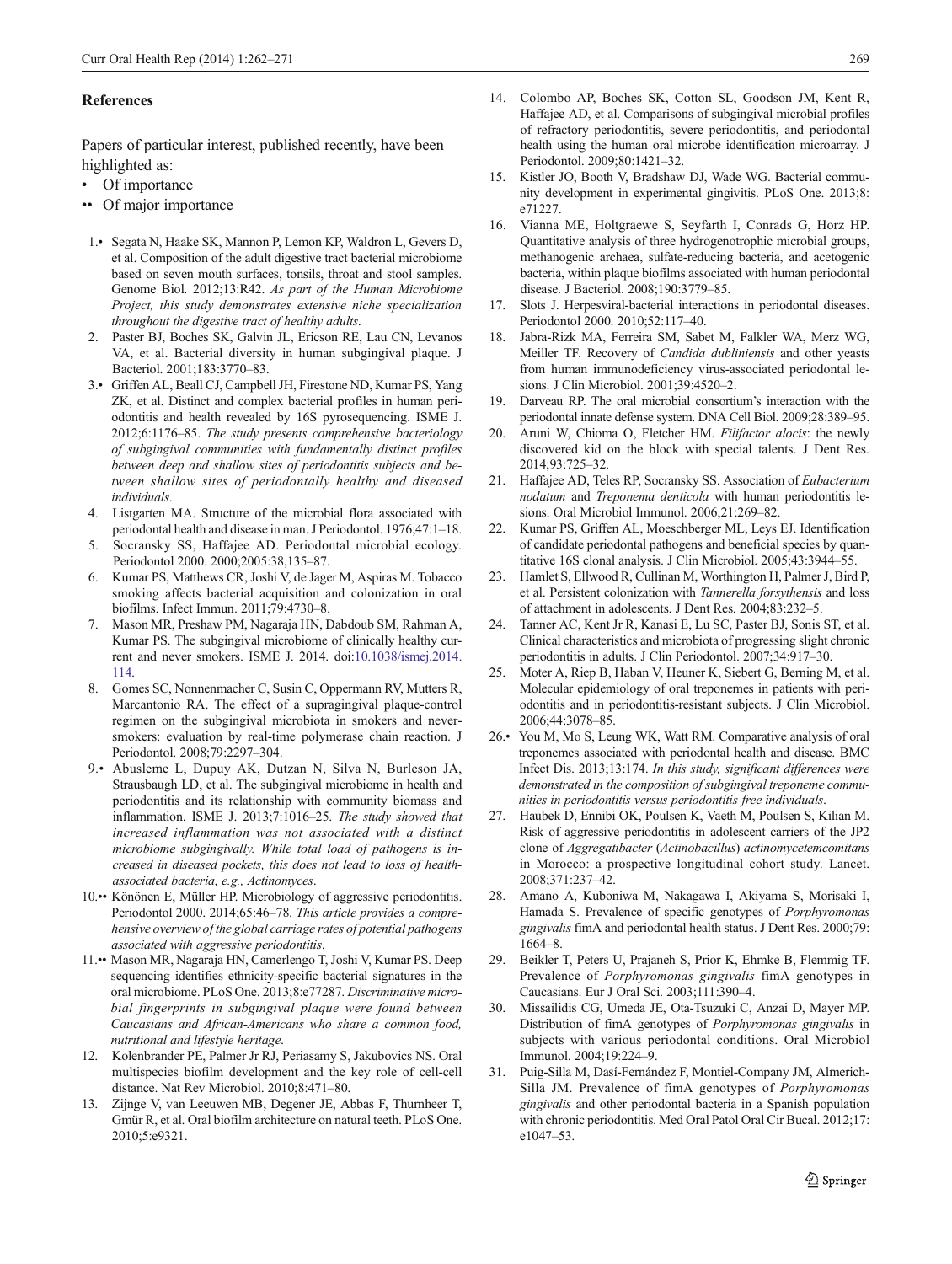## <span id="page-7-0"></span>References

Papers of particular interest, published recently, have been highlighted as:

- Of importance
- •• Of major importance
- 1.• Segata N, Haake SK, Mannon P, Lemon KP, Waldron L, Gevers D, et al. Composition of the adult digestive tract bacterial microbiome based on seven mouth surfaces, tonsils, throat and stool samples. Genome Biol. 2012;13:R42. As part of the Human Microbiome Project, this study demonstrates extensive niche specialization throughout the digestive tract of healthy adults.
- 2. Paster BJ, Boches SK, Galvin JL, Ericson RE, Lau CN, Levanos VA, et al. Bacterial diversity in human subgingival plaque. J Bacteriol. 2001;183:3770–83.
- 3.• Griffen AL, Beall CJ, Campbell JH, Firestone ND, Kumar PS, Yang ZK, et al. Distinct and complex bacterial profiles in human periodontitis and health revealed by 16S pyrosequencing. ISME J. 2012;6:1176–85. The study presents comprehensive bacteriology of subgingival communities with fundamentally distinct profiles between deep and shallow sites of periodontitis subjects and between shallow sites of periodontally healthy and diseased individuals.
- 4. Listgarten MA. Structure of the microbial flora associated with periodontal health and disease in man. J Periodontol. 1976;47:1–18.
- 5. Socransky SS, Haffajee AD. Periodontal microbial ecology. Periodontol 2000. 2000;2005:38,135–87.
- 6. Kumar PS, Matthews CR, Joshi V, de Jager M, Aspiras M. Tobacco smoking affects bacterial acquisition and colonization in oral biofilms. Infect Immun. 2011;79:4730–8.
- 7. Mason MR, Preshaw PM, Nagaraja HN, Dabdoub SM, Rahman A, Kumar PS. The subgingival microbiome of clinically healthy current and never smokers. ISME J. 2014. doi:[10.1038/ismej.2014.](http://dx.doi.org/10.1038/ismej.2014.114) [114](http://dx.doi.org/10.1038/ismej.2014.114).
- 8. Gomes SC, Nonnenmacher C, Susin C, Oppermann RV, Mutters R, Marcantonio RA. The effect of a supragingival plaque-control regimen on the subgingival microbiota in smokers and neversmokers: evaluation by real-time polymerase chain reaction. J Periodontol. 2008;79:2297–304.
- 9.• Abusleme L, Dupuy AK, Dutzan N, Silva N, Burleson JA, Strausbaugh LD, et al. The subgingival microbiome in health and periodontitis and its relationship with community biomass and inflammation. ISME J. 2013;7:1016–25. The study showed that increased inflammation was not associated with a distinct microbiome subgingivally. While total load of pathogens is increased in diseased pockets, this does not lead to loss of healthassociated bacteria, e.g., Actinomyces.
- 10.•• Könönen E, Müller HP. Microbiology of aggressive periodontitis. Periodontol 2000. 2014;65:46–78. This article provides a comprehensive overview of the global carriage rates of potential pathogens associated with aggressive periodontitis.
- 11.•• Mason MR, Nagaraja HN, Camerlengo T, Joshi V, Kumar PS. Deep sequencing identifies ethnicity-specific bacterial signatures in the oral microbiome. PLoS One. 2013;8:e77287. Discriminative microbial fingerprints in subgingival plaque were found between Caucasians and African-Americans who share a common food, nutritional and lifestyle heritage.
- 12. Kolenbrander PE, Palmer Jr RJ, Periasamy S, Jakubovics NS. Oral multispecies biofilm development and the key role of cell-cell distance. Nat Rev Microbiol. 2010;8:471–80.
- 13. Zijnge V, van Leeuwen MB, Degener JE, Abbas F, Thurnheer T, Gmür R, et al. Oral biofilm architecture on natural teeth. PLoS One. 2010;5:e9321.
- 
- 14. Colombo AP, Boches SK, Cotton SL, Goodson JM, Kent R, Haffajee AD, et al. Comparisons of subgingival microbial profiles of refractory periodontitis, severe periodontitis, and periodontal health using the human oral microbe identification microarray. J Periodontol. 2009;80:1421–32.
- 15. Kistler JO, Booth V, Bradshaw DJ, Wade WG. Bacterial community development in experimental gingivitis. PLoS One. 2013;8: e71227.
- 16. Vianna ME, Holtgraewe S, Seyfarth I, Conrads G, Horz HP. Quantitative analysis of three hydrogenotrophic microbial groups, methanogenic archaea, sulfate-reducing bacteria, and acetogenic bacteria, within plaque biofilms associated with human periodontal disease. J Bacteriol. 2008;190:3779–85.
- 17. Slots J. Herpesviral-bacterial interactions in periodontal diseases. Periodontol 2000. 2010;52:117–40.
- 18. Jabra-Rizk MA, Ferreira SM, Sabet M, Falkler WA, Merz WG, Meiller TF. Recovery of Candida dubliniensis and other yeasts from human immunodeficiency virus-associated periodontal lesions. J Clin Microbiol. 2001;39:4520–2.
- 19. Darveau RP. The oral microbial consortium's interaction with the periodontal innate defense system. DNA Cell Biol. 2009;28:389–95.
- 20. Aruni W, Chioma O, Fletcher HM. Filifactor alocis: the newly discovered kid on the block with special talents. J Dent Res. 2014;93:725–32.
- 21. Haffajee AD, Teles RP, Socransky SS. Association of Eubacterium nodatum and Treponema denticola with human periodontitis lesions. Oral Microbiol Immunol. 2006;21:269–82.
- 22. Kumar PS, Griffen AL, Moeschberger ML, Leys EJ. Identification of candidate periodontal pathogens and beneficial species by quantitative 16S clonal analysis. J Clin Microbiol. 2005;43:3944–55.
- 23. Hamlet S, Ellwood R, Cullinan M, Worthington H, Palmer J, Bird P, et al. Persistent colonization with Tannerella forsythensis and loss of attachment in adolescents. J Dent Res. 2004;83:232–5.
- 24. Tanner AC, Kent Jr R, Kanasi E, Lu SC, Paster BJ, Sonis ST, et al. Clinical characteristics and microbiota of progressing slight chronic periodontitis in adults. J Clin Periodontol. 2007;34:917–30.
- 25. Moter A, Riep B, Haban V, Heuner K, Siebert G, Berning M, et al. Molecular epidemiology of oral treponemes in patients with periodontitis and in periodontitis-resistant subjects. J Clin Microbiol. 2006;44:3078–85.
- 26.• You M, Mo S, Leung WK, Watt RM. Comparative analysis of oral treponemes associated with periodontal health and disease. BMC Infect Dis. 2013;13:174. In this study, significant differences were demonstrated in the composition of subgingival treponeme communities in periodontitis versus periodontitis-free individuals.
- 27. Haubek D, Ennibi OK, Poulsen K, Vaeth M, Poulsen S, Kilian M. Risk of aggressive periodontitis in adolescent carriers of the JP2 clone of Aggregatibacter (Actinobacillus) actinomycetemcomitans in Morocco: a prospective longitudinal cohort study. Lancet. 2008;371:237–42.
- 28. Amano A, Kuboniwa M, Nakagawa I, Akiyama S, Morisaki I, Hamada S. Prevalence of specific genotypes of Porphyromonas gingivalis fimA and periodontal health status. J Dent Res. 2000;79: 1664–8.
- 29. Beikler T, Peters U, Prajaneh S, Prior K, Ehmke B, Flemmig TF. Prevalence of Porphyromonas gingivalis fimA genotypes in Caucasians. Eur J Oral Sci. 2003;111:390–4.
- 30. Missailidis CG, Umeda JE, Ota-Tsuzuki C, Anzai D, Mayer MP. Distribution of fimA genotypes of Porphyromonas gingivalis in subjects with various periodontal conditions. Oral Microbiol Immunol. 2004;19:224–9.
- 31. Puig-Silla M, Dasí-Fernández F, Montiel-Company JM, Almerich-Silla JM. Prevalence of fimA genotypes of Porphyromonas gingivalis and other periodontal bacteria in a Spanish population with chronic periodontitis. Med Oral Patol Oral Cir Bucal. 2012;17: e1047–53.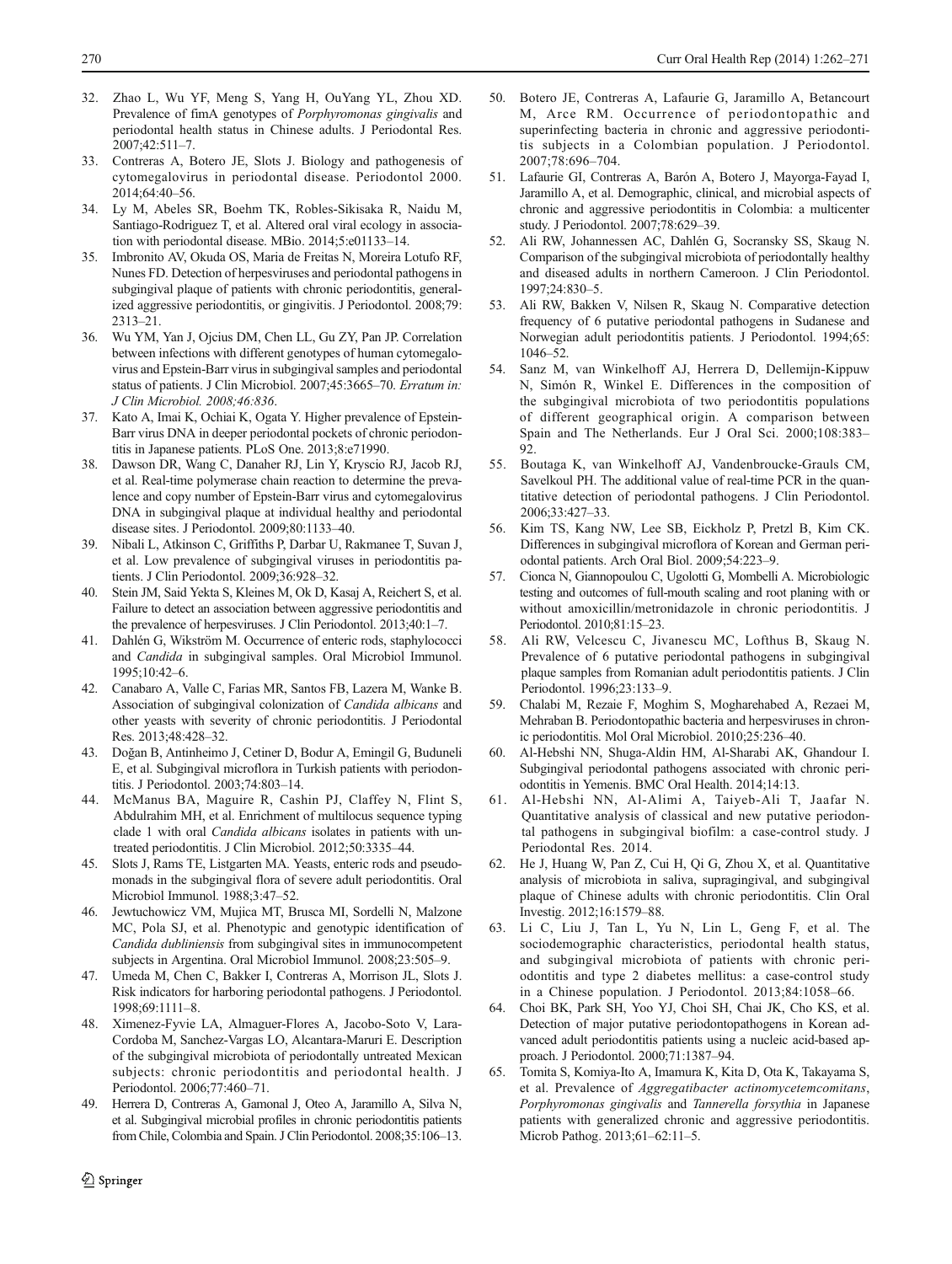- <span id="page-8-0"></span>32. Zhao L, Wu YF, Meng S, Yang H, OuYang YL, Zhou XD. Prevalence of fimA genotypes of Porphyromonas gingivalis and periodontal health status in Chinese adults. J Periodontal Res. 2007;42:511–7.
- 33. Contreras A, Botero JE, Slots J. Biology and pathogenesis of cytomegalovirus in periodontal disease. Periodontol 2000. 2014;64:40–56.
- 34. Ly M, Abeles SR, Boehm TK, Robles-Sikisaka R, Naidu M, Santiago-Rodriguez T, et al. Altered oral viral ecology in association with periodontal disease. MBio. 2014;5:e01133–14.
- 35. Imbronito AV, Okuda OS, Maria de Freitas N, Moreira Lotufo RF, Nunes FD. Detection of herpesviruses and periodontal pathogens in subgingival plaque of patients with chronic periodontitis, generalized aggressive periodontitis, or gingivitis. J Periodontol. 2008;79: 2313–21.
- 36. Wu YM, Yan J, Ojcius DM, Chen LL, Gu ZY, Pan JP. Correlation between infections with different genotypes of human cytomegalovirus and Epstein-Barr virus in subgingival samples and periodontal status of patients. J Clin Microbiol. 2007;45:3665–70. Erratum in: J Clin Microbiol. 2008;46:836.
- 37. Kato A, Imai K, Ochiai K, Ogata Y. Higher prevalence of Epstein-Barr virus DNA in deeper periodontal pockets of chronic periodontitis in Japanese patients. PLoS One. 2013;8:e71990.
- 38. Dawson DR, Wang C, Danaher RJ, Lin Y, Kryscio RJ, Jacob RJ, et al. Real-time polymerase chain reaction to determine the prevalence and copy number of Epstein-Barr virus and cytomegalovirus DNA in subgingival plaque at individual healthy and periodontal disease sites. J Periodontol. 2009;80:1133–40.
- 39. Nibali L, Atkinson C, Griffiths P, Darbar U, Rakmanee T, Suvan J, et al. Low prevalence of subgingival viruses in periodontitis patients. J Clin Periodontol. 2009;36:928–32.
- 40. Stein JM, Said Yekta S, Kleines M, Ok D, Kasaj A, Reichert S, et al. Failure to detect an association between aggressive periodontitis and the prevalence of herpesviruses. J Clin Periodontol. 2013;40:1–7.
- 41. Dahlén G, Wikström M. Occurrence of enteric rods, staphylococci and Candida in subgingival samples. Oral Microbiol Immunol. 1995;10:42–6.
- 42. Canabaro A, Valle C, Farias MR, Santos FB, Lazera M, Wanke B. Association of subgingival colonization of Candida albicans and other yeasts with severity of chronic periodontitis. J Periodontal Res. 2013;48:428–32.
- 43. Doğan B, Antinheimo J, Cetiner D, Bodur A, Emingil G, Buduneli E, et al. Subgingival microflora in Turkish patients with periodontitis. J Periodontol. 2003;74:803–14.
- 44. McManus BA, Maguire R, Cashin PJ, Claffey N, Flint S, Abdulrahim MH, et al. Enrichment of multilocus sequence typing clade 1 with oral Candida albicans isolates in patients with untreated periodontitis. J Clin Microbiol. 2012;50:3335–44.
- 45. Slots J, Rams TE, Listgarten MA. Yeasts, enteric rods and pseudomonads in the subgingival flora of severe adult periodontitis. Oral Microbiol Immunol. 1988;3:47–52.
- 46. Jewtuchowicz VM, Mujica MT, Brusca MI, Sordelli N, Malzone MC, Pola SJ, et al. Phenotypic and genotypic identification of Candida dubliniensis from subgingival sites in immunocompetent subjects in Argentina. Oral Microbiol Immunol. 2008;23:505–9.
- 47. Umeda M, Chen C, Bakker I, Contreras A, Morrison JL, Slots J. Risk indicators for harboring periodontal pathogens. J Periodontol. 1998;69:1111–8.
- 48. Ximenez-Fyvie LA, Almaguer-Flores A, Jacobo-Soto V, Lara-Cordoba M, Sanchez-Vargas LO, Alcantara-Maruri E. Description of the subgingival microbiota of periodontally untreated Mexican subjects: chronic periodontitis and periodontal health. J Periodontol. 2006;77:460–71.
- 49. Herrera D, Contreras A, Gamonal J, Oteo A, Jaramillo A, Silva N, et al. Subgingival microbial profiles in chronic periodontitis patients from Chile, Colombia and Spain. J Clin Periodontol. 2008;35:106–13.
- 50. Botero JE, Contreras A, Lafaurie G, Jaramillo A, Betancourt M, Arce RM. Occurrence of periodontopathic and superinfecting bacteria in chronic and aggressive periodontitis subjects in a Colombian population. J Periodontol. 2007;78:696–704.
- 51. Lafaurie GI, Contreras A, Barón A, Botero J, Mayorga-Fayad I, Jaramillo A, et al. Demographic, clinical, and microbial aspects of chronic and aggressive periodontitis in Colombia: a multicenter study. J Periodontol. 2007;78:629–39.
- 52. Ali RW, Johannessen AC, Dahlén G, Socransky SS, Skaug N. Comparison of the subgingival microbiota of periodontally healthy and diseased adults in northern Cameroon. J Clin Periodontol. 1997;24:830–5.
- 53. Ali RW, Bakken V, Nilsen R, Skaug N. Comparative detection frequency of 6 putative periodontal pathogens in Sudanese and Norwegian adult periodontitis patients. J Periodontol. 1994;65: 1046–52.
- 54. Sanz M, van Winkelhoff AJ, Herrera D, Dellemijn-Kippuw N, Simón R, Winkel E. Differences in the composition of the subgingival microbiota of two periodontitis populations of different geographical origin. A comparison between Spain and The Netherlands. Eur J Oral Sci. 2000;108:383– 92.
- 55. Boutaga K, van Winkelhoff AJ, Vandenbroucke-Grauls CM, Savelkoul PH. The additional value of real-time PCR in the quantitative detection of periodontal pathogens. J Clin Periodontol. 2006;33:427–33.
- 56. Kim TS, Kang NW, Lee SB, Eickholz P, Pretzl B, Kim CK. Differences in subgingival microflora of Korean and German periodontal patients. Arch Oral Biol. 2009;54:223–9.
- 57. Cionca N, Giannopoulou C, Ugolotti G, Mombelli A. Microbiologic testing and outcomes of full-mouth scaling and root planing with or without amoxicillin/metronidazole in chronic periodontitis. J Periodontol. 2010;81:15–23.
- 58. Ali RW, Velcescu C, Jivanescu MC, Lofthus B, Skaug N. Prevalence of 6 putative periodontal pathogens in subgingival plaque samples from Romanian adult periodontitis patients. J Clin Periodontol. 1996;23:133–9.
- 59. Chalabi M, Rezaie F, Moghim S, Mogharehabed A, Rezaei M, Mehraban B. Periodontopathic bacteria and herpesviruses in chronic periodontitis. Mol Oral Microbiol. 2010;25:236–40.
- 60. Al-Hebshi NN, Shuga-Aldin HM, Al-Sharabi AK, Ghandour I. Subgingival periodontal pathogens associated with chronic periodontitis in Yemenis. BMC Oral Health. 2014;14:13.
- 61. Al-Hebshi NN, Al-Alimi A, Taiyeb-Ali T, Jaafar N. Quantitative analysis of classical and new putative periodontal pathogens in subgingival biofilm: a case-control study. J Periodontal Res. 2014.
- 62. He J, Huang W, Pan Z, Cui H, Qi G, Zhou X, et al. Quantitative analysis of microbiota in saliva, supragingival, and subgingival plaque of Chinese adults with chronic periodontitis. Clin Oral Investig. 2012;16:1579–88.
- 63. Li C, Liu J, Tan L, Yu N, Lin L, Geng F, et al. The sociodemographic characteristics, periodontal health status, and subgingival microbiota of patients with chronic periodontitis and type 2 diabetes mellitus: a case-control study in a Chinese population. J Periodontol. 2013;84:1058–66.
- 64. Choi BK, Park SH, Yoo YJ, Choi SH, Chai JK, Cho KS, et al. Detection of major putative periodontopathogens in Korean advanced adult periodontitis patients using a nucleic acid-based approach. J Periodontol. 2000;71:1387–94.
- 65. Tomita S, Komiya-Ito A, Imamura K, Kita D, Ota K, Takayama S, et al. Prevalence of Aggregatibacter actinomycetemcomitans, Porphyromonas gingivalis and Tannerella forsythia in Japanese patients with generalized chronic and aggressive periodontitis. Microb Pathog. 2013;61–62:11–5.